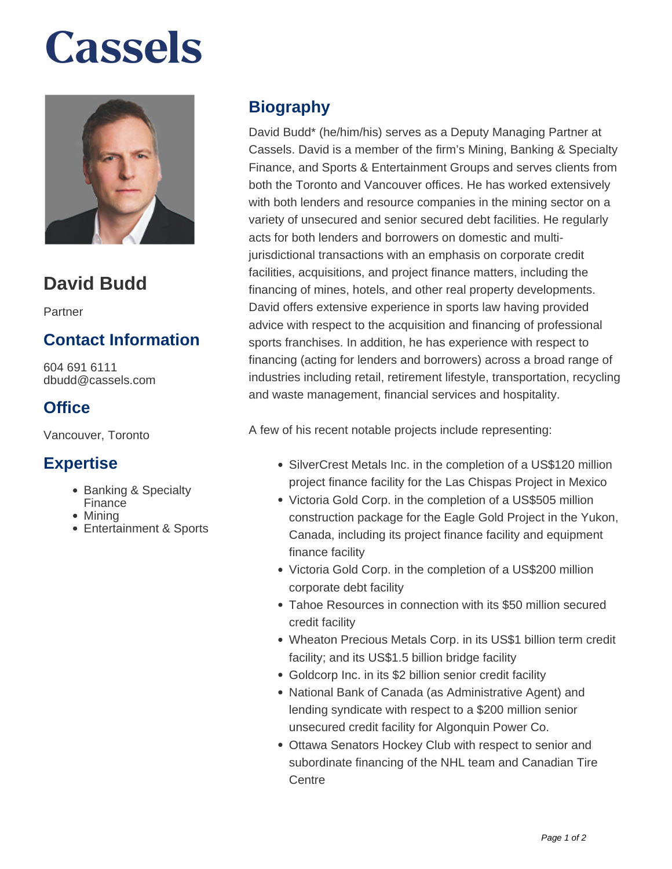# **Cassels**



### **David Budd**

Partner

### **Contact Information**

604 691 6111 dbudd@cassels.com

### **Office**

Vancouver, Toronto

### **Expertise**

- Banking & Specialty Finance
- Mining
- Entertainment & Sports

### **Biography**

David Budd\* (he/him/his) serves as a Deputy Managing Partner at Cassels. David is a member of the firm's Mining, Banking & Specialty Finance, and Sports & Entertainment Groups and serves clients from both the Toronto and Vancouver offices. He has worked extensively with both lenders and resource companies in the mining sector on a variety of unsecured and senior secured debt facilities. He regularly acts for both lenders and borrowers on domestic and multijurisdictional transactions with an emphasis on corporate credit facilities, acquisitions, and project finance matters, including the financing of mines, hotels, and other real property developments. David offers extensive experience in sports law having provided advice with respect to the acquisition and financing of professional sports franchises. In addition, he has experience with respect to financing (acting for lenders and borrowers) across a broad range of industries including retail, retirement lifestyle, transportation, recycling and waste management, financial services and hospitality.

A few of his recent notable projects include representing:

- SilverCrest Metals Inc. in the completion of a US\$120 million project finance facility for the Las Chispas Project in Mexico
- Victoria Gold Corp. in the completion of a US\$505 million construction package for the Eagle Gold Project in the Yukon, Canada, including its project finance facility and equipment finance facility
- Victoria Gold Corp. in the completion of a US\$200 million corporate debt facility
- Tahoe Resources in connection with its \$50 million secured credit facility
- Wheaton Precious Metals Corp. in its US\$1 billion term credit facility; and its US\$1.5 billion bridge facility
- Goldcorp Inc. in its \$2 billion senior credit facility
- National Bank of Canada (as Administrative Agent) and lending syndicate with respect to a \$200 million senior unsecured credit facility for Algonquin Power Co.
- Ottawa Senators Hockey Club with respect to senior and subordinate financing of the NHL team and Canadian Tire **Centre**